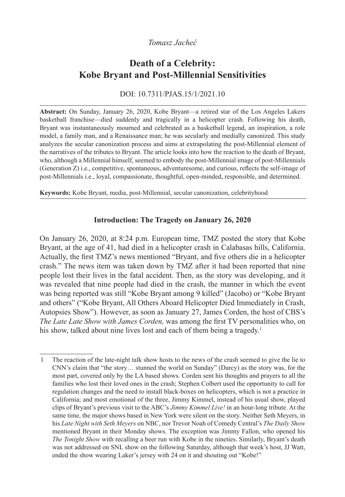## *Tomasz Jacheć*

# **Death of a Celebrity: Kobe Bryant and Post-Millennial Sensitivities**

DOI: 10.7311/PJAS.15/1/2021.10

**Abstract:** On Sunday, January 26, 2020, Kobe Bryant—a retired star of the Los Angeles Lakers basketball franchise—died suddenly and tragically in a helicopter crash. Following his death, Bryant was instantaneously mourned and celebrated as a basketball legend, an inspiration, a role model, a family man, and a Renaissance man; he was secularly and medially canonized. This study analyzes the secular canonization process and aims at extrapolating the post-Millennial element of the narratives of the tributes to Bryant. The article looks into how the reaction to the death of Bryant, who, although a Millennial himself, seemed to embody the post-Millennial image of post-Millennials (Generation Z) i.e., competitive, spontaneous, adventuresome, and curious, reflects the self-image of post-Millennials i.e., loyal, compassionate, thoughtful, open-minded, responsible, and determined.

**Keywords:** Kobe Bryant, media, post-Millennial, secular canonization, celebrityhood

### **Introduction: The Tragedy on January 26, 2020**

On January 26, 2020, at 8:24 p.m. European time, TMZ posted the story that Kobe Bryant, at the age of 41, had died in a helicopter crash in Calabasas hills, California. Actually, the first TMZ's news mentioned "Bryant, and five others die in a helicopter crash." The news item was taken down by TMZ after it had been reported that nine people lost their lives in the fatal accident. Then, as the story was developing, and it was revealed that nine people had died in the crash, the manner in which the event was being reported was still "Kobe Bryant among 9 killed" (Jacobo) or "Kobe Bryant and others" ("Kobe Bryant, All Others Aboard Helicopter Died Immediately in Crash, Autopsies Show"). However, as soon as January 27, James Corden, the host of CBS's *The Late Late Show with James Corden,* was among the first TV personalities who, on his show, talked about nine lives lost and each of them being a tragedy.<sup>1</sup>

<sup>1</sup> The reaction of the late-night talk show hosts to the news of the crash seemed to give the lie to CNN's claim that "the story… stunned the world on Sunday" (Darcy) as the story was, for the most part, covered only by the LA based shows. Corden sent his thoughts and prayers to all the families who lost their loved ones in the crash; Stephen Colbert used the opportunity to call for regulation changes and the need to install black-boxes on helicopters, which is not a practice in California; and most emotional of the three, Jimmy Kimmel, instead of his usual show, played clips of Bryant's previous visit to the ABC's *Jimmy Kimmel Live!* in an hour-long tribute. At the same time, the major shows based in New York were silent on the story. Neither Seth Meyers, in his *Late Night with Seth Meyers* on NBC, nor Trevor Noah of Comedy Central's *The Daily Show* mentioned Bryant in their Monday shows. The exception was Jimmy Fallon, who opened his *The Tonight Show* with recalling a beer run with Kobe in the nineties. Similarly, Bryant's death was not addressed on SNL show on the following Saturday, although that week's host, JJ Watt, ended the show wearing Laker's jersey with 24 on it and shouting out "Kobe!"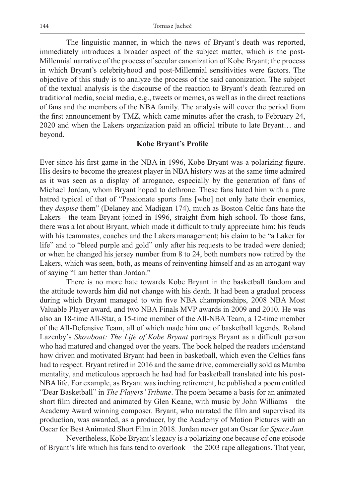The linguistic manner, in which the news of Bryant's death was reported, immediately introduces a broader aspect of the subject matter, which is the post-Millennial narrative of the process of secular canonization of Kobe Bryant; the process in which Bryant's celebrityhood and post-Millennial sensitivities were factors. The objective of this study is to analyze the process of the said canonization. The subject of the textual analysis is the discourse of the reaction to Bryant's death featured on traditional media, social media, e.g., tweets or memes, as well as in the direct reactions of fans and the members of the NBA family. The analysis will cover the period from the first announcement by TMZ, which came minutes after the crash, to February 24, 2020 and when the Lakers organization paid an official tribute to late Bryant… and beyond.

#### **Kobe Bryant's Profile**

Ever since his first game in the NBA in 1996, Kobe Bryant was a polarizing figure. His desire to become the greatest player in NBA history was at the same time admired as it was seen as a display of arrogance, especially by the generation of fans of Michael Jordan, whom Bryant hoped to dethrone. These fans hated him with a pure hatred typical of that of "Passionate sports fans [who] not only hate their enemies, they *despise* them" (Delaney and Madigan 174), much as Boston Celtic fans hate the Lakers—the team Bryant joined in 1996, straight from high school. To those fans, there was a lot about Bryant, which made it difficult to truly appreciate him: his feuds with his teammates, coaches and the Lakers management; his claim to be "a Laker for life" and to "bleed purple and gold" only after his requests to be traded were denied; or when he changed his jersey number from 8 to 24, both numbers now retired by the Lakers, which was seen, both, as means of reinventing himself and as an arrogant way of saying "I am better than Jordan."

There is no more hate towards Kobe Bryant in the basketball fandom and the attitude towards him did not change with his death. It had been a gradual process during which Bryant managed to win five NBA championships, 2008 NBA Most Valuable Player award, and two NBA Finals MVP awards in 2009 and 2010. He was also an 18-time All-Star, a 15-time member of the All-NBA Team, a 12-time member of the All-Defensive Team, all of which made him one of basketball legends. Roland Lazenby's *Showboat: The Life of Kobe Bryant* portrays Bryant as a difficult person who had matured and changed over the years. The book helped the readers understand how driven and motivated Bryant had been in basketball, which even the Celtics fans had to respect. Bryant retired in 2016 and the same drive, commercially sold as Mamba mentality, and meticulous approach he had had for basketball translated into his post-NBA life. For example, as Bryant was inching retirement, he published a poem entitled "Dear Basketball" in *The Players' Tribune*. The poem became a basis for an animated short film directed and animated by Glen Keane, with music by John Williams – the Academy Award winning composer. Bryant, who narrated the film and supervised its production, was awarded, as a producer, by the Academy of Motion Pictures with an Oscar for Best Animated Short Film in 2018. Jordan never got an Oscar for *Space Jam.*

Nevertheless, Kobe Bryant's legacy is a polarizing one because of one episode of Bryant's life which his fans tend to overlook—the 2003 rape allegations. That year,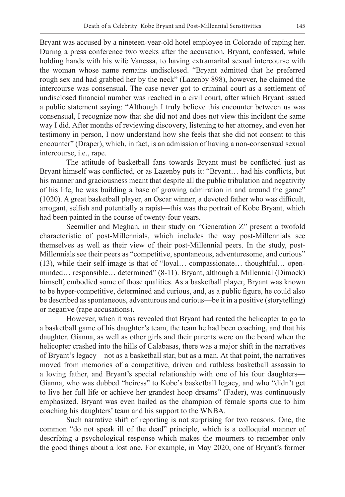Bryant was accused by a nineteen-year-old hotel employee in Colorado of raping her. During a press conference two weeks after the accusation, Bryant, confessed, while holding hands with his wife Vanessa, to having extramarital sexual intercourse with the woman whose name remains undisclosed. "Bryant admitted that he preferred rough sex and had grabbed her by the neck" (Lazenby 898), however, he claimed the intercourse was consensual. The case never got to criminal court as a settlement of undisclosed financial number was reached in a civil court, after which Bryant issued a public statement saying: "Although I truly believe this encounter between us was consensual, I recognize now that she did not and does not view this incident the same way I did. After months of reviewing discovery, listening to her attorney, and even her testimony in person, I now understand how she feels that she did not consent to this encounter" (Draper), which, in fact, is an admission of having a non-consensual sexual intercourse, i.e., rape.

The attitude of basketball fans towards Bryant must be conflicted just as Bryant himself was conflicted, or as Lazenby puts it: "Bryant… had his conflicts, but his manner and graciousness meant that despite all the public tribulation and negativity of his life, he was building a base of growing admiration in and around the game" (1020). A great basketball player, an Oscar winner, a devoted father who was difficult, arrogant, selfish and potentially a rapist—this was the portrait of Kobe Bryant, which had been painted in the course of twenty-four years.

Seemiller and Meghan, in their study on "Generation Z" present a twofold characteristic of post-Millennials, which includes the way post-Millennials see themselves as well as their view of their post-Millennial peers. In the study, post-Millennials see their peers as "competitive, spontaneous, adventuresome, and curious" (13), while their self-image is that of "loyal… compassionate… thoughtful… openminded… responsible… determined" (8-11). Bryant, although a Millennial (Dimock) himself, embodied some of those qualities. As a basketball player, Bryant was known to be hyper-competitive, determined and curious, and, as a public figure, he could also be described as spontaneous, adventurous and curious—be it in a positive (storytelling) or negative (rape accusations).

However, when it was revealed that Bryant had rented the helicopter to go to a basketball game of his daughter's team, the team he had been coaching, and that his daughter, Gianna, as well as other girls and their parents were on the board when the helicopter crashed into the hills of Calabasas, there was a major shift in the narratives of Bryant's legacy—not as a basketball star, but as a man. At that point, the narratives moved from memories of a competitive, driven and ruthless basketball assassin to a loving father, and Bryant's special relationship with one of his four daughters— Gianna, who was dubbed "heiress" to Kobe's basketball legacy, and who "didn't get to live her full life or achieve her grandest hoop dreams" (Fader), was continuously emphasized. Bryant was even hailed as the champion of female sports due to him coaching his daughters' team and his support to the WNBA.

Such narrative shift of reporting is not surprising for two reasons. One, the common "do not speak ill of the dead" principle, which is a colloquial manner of describing a psychological response which makes the mourners to remember only the good things about a lost one. For example, in May 2020, one of Bryant's former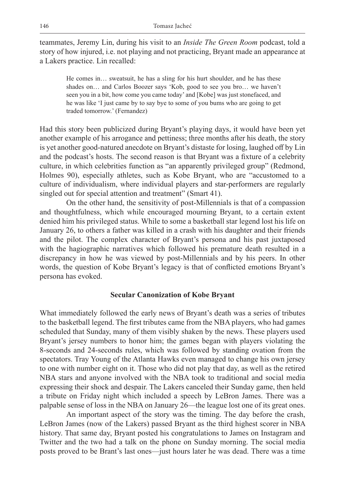teammates, Jeremy Lin, during his visit to an *Inside The Green Room* podcast, told a story of how injured, i.e. not playing and not practicing, Bryant made an appearance at a Lakers practice. Lin recalled:

He comes in… sweatsuit, he has a sling for his hurt shoulder, and he has these shades on… and Carlos Boozer says 'Kob, good to see you bro… we haven't seen you in a bit, how come you came today' and [Kobe] was just stonefaced, and he was like 'I just came by to say bye to some of you bums who are going to get traded tomorrow.' (Fernandez)

Had this story been publicized during Bryant's playing days, it would have been yet another example of his arrogance and pettiness; three months after his death, the story is yet another good-natured anecdote on Bryant's distaste for losing, laughed off by Lin and the podcast's hosts. The second reason is that Bryant was a fixture of a celebrity culture, in which celebrities function as "an apparently privileged group" (Redmond, Holmes 90), especially athletes, such as Kobe Bryant, who are "accustomed to a culture of individualism, where individual players and star-performers are regularly singled out for special attention and treatment" (Smart 41).

On the other hand, the sensitivity of post-Millennials is that of a compassion and thoughtfulness, which while encouraged mourning Bryant, to a certain extent denied him his privileged status. While to some a basketball star legend lost his life on January 26, to others a father was killed in a crash with his daughter and their friends and the pilot. The complex character of Bryant's persona and his past juxtaposed with the hagiographic narratives which followed his premature death resulted in a discrepancy in how he was viewed by post-Millennials and by his peers. In other words, the question of Kobe Bryant's legacy is that of conflicted emotions Bryant's persona has evoked.

#### **Secular Canonization of Kobe Bryant**

What immediately followed the early news of Bryant's death was a series of tributes to the basketball legend. The first tributes came from the NBA players, who had games scheduled that Sunday, many of them visibly shaken by the news. These players used Bryant's jersey numbers to honor him; the games began with players violating the 8-seconds and 24-seconds rules, which was followed by standing ovation from the spectators. Tray Young of the Atlanta Hawks even managed to change his own jersey to one with number eight on it. Those who did not play that day, as well as the retired NBA stars and anyone involved with the NBA took to traditional and social media expressing their shock and despair. The Lakers canceled their Sunday game, then held a tribute on Friday night which included a speech by LeBron James. There was a palpable sense of loss in the NBA on January 26—the league lost one of its great ones.

An important aspect of the story was the timing. The day before the crash, LeBron James (now of the Lakers) passed Bryant as the third highest scorer in NBA history. That same day, Bryant posted his congratulations to James on Instagram and Twitter and the two had a talk on the phone on Sunday morning. The social media posts proved to be Brant's last ones—just hours later he was dead. There was a time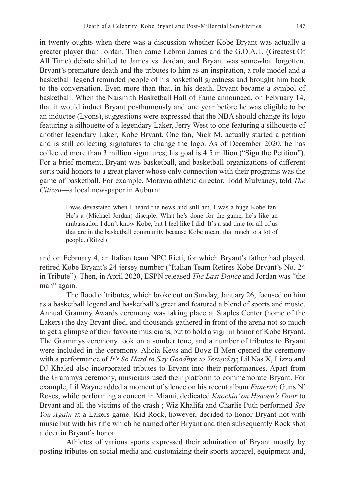in twenty-oughts when there was a discussion whether Kobe Bryant was actually a greater player than Jordan. Then came Lebron James and the G.O.A.T. (Greatest Of All Time) debate shifted to James vs. Jordan, and Bryant was somewhat forgotten. Bryant's premature death and the tributes to him as an inspiration, a role model and a basketball legend reminded people of his basketball greatness and brought him back to the conversation. Even more than that, in his death, Bryant became a symbol of basketball. When the Naismith Basketball Hall of Fame announced, on February 14, that it would induct Bryant posthumously and one year before he was eligible to be an inductee (Lyons), suggestions were expressed that the NBA should change its logo featuring a silhouette of a legendary Laker, Jerry West to one featuring a silhouette of another legendary Laker, Kobe Bryant. One fan, Nick M, actually started a petition and is still collecting signatures to change the logo. As of December 2020, he has collected more than 3 million signatures; his goal is 4.5 million ("Sign the Petition"). For a brief moment, Bryant was basketball, and basketball organizations of different sorts paid honors to a great player whose only connection with their programs was the game of basketball. For example, Moravia athletic director, Todd Mulvaney, told *The Citizen*—a local newspaper in Auburn:

I was devastated when I heard the news and still am. I was a huge Kobe fan. He's a (Michael Jordan) disciple. What he's done for the game, he's like an ambassador. I don't know Kobe, but I feel like I did. It's a sad time for all of us that are in the basketball community because Kobe meant that much to a lot of people. (Ritzel)

and on February 4, an Italian team NPC Rieti, for which Bryant's father had played, retired Kobe Bryant's 24 jersey number ("Italian Team Retires Kobe Bryant's No. 24 in Tribute"). Then, in April 2020, ESPN released *The Last Dance* and Jordan was "the man" again.

The flood of tributes, which broke out on Sunday, January 26, focused on him as a basketball legend and basketball's great and featured a blend of sports and music. Annual Grammy Awards ceremony was taking place at Staples Center (home of the Lakers) the day Bryant died, and thousands gathered in front of the arena not so much to get a glimpse of their favorite musicians, but to hold a vigil in honor of Kobe Bryant. The Grammys ceremony took on a somber tone, and a number of tributes to Bryant were included in the ceremony. Alicia Keys and Boyz II Men opened the ceremony with a performance of *It's So Hard to Say Goodbye to Yesterday*; Lil Nas X, Lizzo and DJ Khaled also incorporated tributes to Bryant into their performances. Apart from the Grammys ceremony, musicians used their platform to commemorate Bryant. For example, Lil Wayne added a moment of silence on his recent album *Funeral*; Guns N' Roses, while performing a concert in Miami, dedicated *Knockin' on Heaven's Door* to Bryant and all the victims of the crash ; Wiz Khalifa and Charlie Puth performed *See You Again* at a Lakers game. Kid Rock, however, decided to honor Bryant not with music but with his rifle which he named after Bryant and then subsequently Rock shot a deer in Bryant's honor.

Athletes of various sports expressed their admiration of Bryant mostly by posting tributes on social media and customizing their sports apparel, equipment and,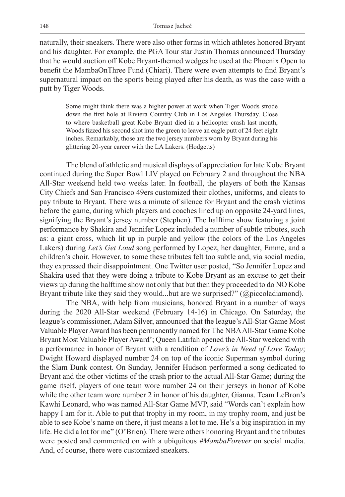naturally, their sneakers. There were also other forms in which athletes honored Bryant and his daughter. For example, the PGA Tour star Justin Thomas announced Thursday that he would auction off Kobe Bryant-themed wedges he used at the Phoenix Open to benefit the MambaOnThree Fund (Chiari). There were even attempts to find Bryant's supernatural impact on the sports being played after his death, as was the case with a putt by Tiger Woods.

Some might think there was a higher power at work when Tiger Woods strode down the first hole at Riviera Country Club in Los Angeles Thursday. Close to where basketball great Kobe Bryant died in a helicopter crash last month, Woods fizzed his second shot into the green to leave an eagle putt of 24 feet eight inches. Remarkably, those are the two jersey numbers worn by Bryant during his glittering 20-year career with the LA Lakers. (Hodgetts)

The blend of athletic and musical displays of appreciation for late Kobe Bryant continued during the Super Bowl LIV played on February 2 and throughout the NBA All-Star weekend held two weeks later. In football, the players of both the Kansas City Chiefs and San Francisco 49ers customized their clothes, uniforms, and cleats to pay tribute to Bryant. There was a minute of silence for Bryant and the crash victims before the game, during which players and coaches lined up on opposite 24-yard lines, signifying the Bryant's jersey number (Stephen). The halftime show featuring a joint performance by Shakira and Jennifer Lopez included a number of subtle tributes, such as: a giant cross, which lit up in purple and yellow (the colors of the Los Angeles Lakers) during *Let's Get Loud* song performed by Lopez, her daughter, Emme, and a children's choir. However, to some these tributes felt too subtle and, via social media, they expressed their disappointment. One Twitter user posted, "So Jennifer Lopez and Shakira used that they were doing a tribute to Kobe Bryant as an excuse to get their views up during the halftime show not only that but then they proceeded to do NO Kobe Bryant tribute like they said they would...but are we surprised?" (@piccoladiamond).

The NBA, with help from musicians, honored Bryant in a number of ways during the 2020 All-Star weekend (February 14-16) in Chicago. On Saturday, the league's commissioner, Adam Silver, announced that the league's All-Star Game Most Valuable Player Award has been permanently named for The NBA All-Star Game Kobe Bryant Most Valuable Player Award'; Queen Latifah opened the All-Star weekend with a performance in honor of Bryant with a rendition of *Love's in Need of Love Today*; Dwight Howard displayed number 24 on top of the iconic Superman symbol during the Slam Dunk contest. On Sunday, Jennifer Hudson performed a song dedicated to Bryant and the other victims of the crash prior to the actual All-Star Game; during the game itself, players of one team wore number 24 on their jerseys in honor of Kobe while the other team wore number 2 in honor of his daughter, Gianna. Team LeBron's Kawhi Leonard, who was named All-Star Game MVP, said "Words can't explain how happy I am for it. Able to put that trophy in my room, in my trophy room, and just be able to see Kobe's name on there, it just means a lot to me. He's a big inspiration in my life. He did a lot for me" (O'Brien). There were others honoring Bryant and the tributes were posted and commented on with a ubiquitous *#MambaForever* on social media. And, of course, there were customized sneakers.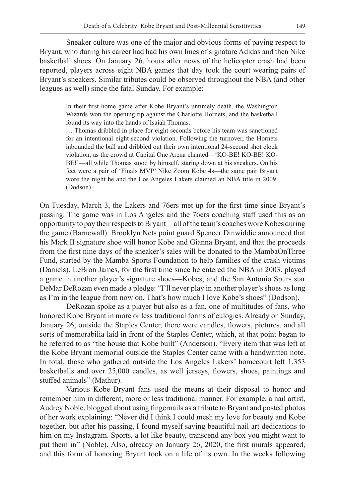Sneaker culture was one of the major and obvious forms of paying respect to Bryant, who during his career had had his own lines of signature Adidas and then Nike basketball shoes. On January 26, hours after news of the helicopter crash had been reported, players across eight NBA games that day took the court wearing pairs of Bryant's sneakers. Similar tributes could be observed throughout the NBA (and other leagues as well) since the fatal Sunday. For example:

In their first home game after Kobe Bryant's untimely death, the Washington Wizards won the opening tip against the Charlotte Hornets, and the basketball found its way into the hands of Isaiah Thomas.

… Thomas dribbled in place for eight seconds before his team was sanctioned for an intentional eight-second violation. Following the turnover, the Hornets inbounded the ball and dribbled out their own intentional 24-second shot clock violation, as the crowd at Capital One Arena chanted—'KO-BE! KO-BE! KO-BE!'—all while Thomas stood by himself, staring down at his sneakers. On his feet were a pair of 'Finals MVP' Nike Zoom Kobe 4s—the same pair Bryant wore the night he and the Los Angeles Lakers claimed an NBA title in 2009. (Dodson)

On Tuesday, March 3, the Lakers and 76ers met up for the first time since Bryant's passing. The game was in Los Angeles and the 76ers coaching staff used this as an opportunity to pay their respects to Bryant—all of the team's coaches wore Kobes during the game (Barnewall). Brooklyn Nets point guard Spencer Dinwiddie announced that his Mark II signature shoe will honor Kobe and Gianna Bryant, and that the proceeds from the first nine days of the sneaker's sales will be donated to the MambaOnThree Fund, started by the Mamba Sports Foundation to help families of the crash victims (Daniels). LeBron James, for the first time since he entered the NBA in 2003, played a game in another player's signature shoes—Kobes, and the San Antonio Spurs star DeMar DeRozan even made a pledge: "I'll never play in another player's shoes as long as I'm in the league from now on. That's how much I love Kobe's shoes" (Dodson).

DeRozan spoke as a player but also as a fan, one of multitudes of fans, who honored Kobe Bryant in more or less traditional forms of eulogies. Already on Sunday, January 26, outside the Staples Center, there were candles, flowers, pictures, and all sorts of memorabilia laid in front of the Staples Center, which, at that point began to be referred to as "the house that Kobe built" (Anderson). "Every item that was left at the Kobe Bryant memorial outside the Staples Center came with a handwritten note. In total, those who gathered outside the Los Angeles Lakers' homecourt left 1,353 basketballs and over 25,000 candles, as well jerseys, flowers, shoes, paintings and stuffed animals" (Mathur).

Various Kobe Bryant fans used the means at their disposal to honor and remember him in different, more or less traditional manner. For example, a nail artist, Audrey Noble, blogged about using fingernails as a tribute to Bryant and posted photos of her work explaining: "Never did I think I could mesh my love for beauty and Kobe together, but after his passing, I found myself saving beautiful nail art dedications to him on my Instagram. Sports, a lot like beauty, transcend any box you might want to put them in" (Noble). Also, already on January 26, 2020, the first murals appeared, and this form of honoring Bryant took on a life of its own. In the weeks following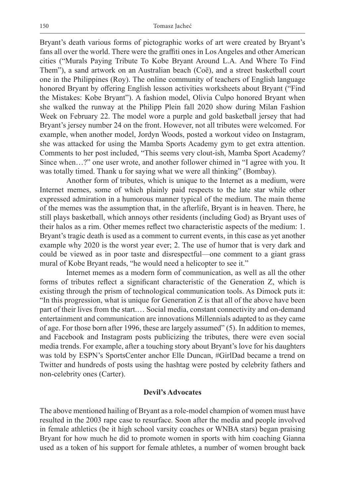Bryant's death various forms of pictographic works of art were created by Bryant's fans all over the world. There were the graffiti ones in Los Angeles and other American cities ("Murals Paying Tribute To Kobe Bryant Around L.A. And Where To Find Them"), a sand artwork on an Australian beach (Coë), and a street basketball court one in the Philippines (Roy). The online community of teachers of English language honored Bryant by offering English lesson activities worksheets about Bryant ("Find the Mistakes: Kobe Bryant"). A fashion model, Olivia Culpo honored Bryant when she walked the runway at the Philipp Plein fall 2020 show during Milan Fashion Week on February 22. The model wore a purple and gold basketball jersey that had Bryant's jersey number 24 on the front. However, not all tributes were welcomed. For example, when another model, Jordyn Woods, posted a workout video on Instagram, she was attacked for using the Mamba Sports Academy gym to get extra attention. Comments to her post included, "This seems very clout-ish, Mamba Sport Academy? Since when…?" one user wrote, and another follower chimed in "I agree with you. It was totally timed. Thank u for saying what we were all thinking" (Bombay).

Another form of tributes, which is unique to the Internet as a medium, were Internet memes, some of which plainly paid respects to the late star while other expressed admiration in a humorous manner typical of the medium. The main theme of the memes was the assumption that, in the afterlife, Bryant is in heaven. There, he still plays basketball, which annoys other residents (including God) as Bryant uses of their halos as a rim. Other memes reflect two characteristic aspects of the medium: 1. Bryant's tragic death is used as a comment to current events, in this case as yet another example why 2020 is the worst year ever; 2. The use of humor that is very dark and could be viewed as in poor taste and disrespectful—one comment to a giant grass mural of Kobe Bryant reads, "he would need a helicopter to see it."

Internet memes as a modern form of communication, as well as all the other forms of tributes reflect a significant characteristic of the Generation Z, which is existing through the prism of technological communication tools. As Dimock puts it: "In this progression, what is unique for Generation  $Z$  is that all of the above have been part of their lives from the start.… Social media, constant connectivity and on-demand entertainment and communication are innovations Millennials adapted to as they came of age. For those born after 1996, these are largely assumed" (5). In addition to memes, and Facebook and Instagram posts publicizing the tributes, there were even social media trends. For example, after a touching story about Bryant's love for his daughters was told by ESPN's SportsCenter anchor Elle Duncan, #GirlDad became a trend on Twitter and hundreds of posts using the hashtag were posted by celebrity fathers and non-celebrity ones (Carter).

#### **Devil's Advocates**

The above mentioned hailing of Bryant as a role-model champion of women must have resulted in the 2003 rape case to resurface. Soon after the media and people involved in female athletics (be it high school varsity coaches or WNBA stars) began praising Bryant for how much he did to promote women in sports with him coaching Gianna used as a token of his support for female athletes, a number of women brought back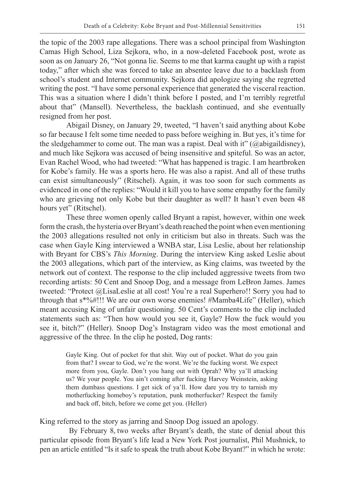the topic of the 2003 rape allegations. There was a school principal from Washington Camas High School, Liza Sejkora, who, in a now-deleted Facebook post, wrote as soon as on January 26, "Not gonna lie. Seems to me that karma caught up with a rapist today," after which she was forced to take an absentee leave due to a backlash from school's student and Internet community. Sejkora did apologize saying she regretted writing the post. "I have some personal experience that generated the visceral reaction. This was a situation where I didn't think before I posted, and I'm terribly regretful about that" (Mansell). Nevertheless, the backlash continued, and she eventually resigned from her post.

Abigail Disney, on January 29, tweeted, "I haven't said anything about Kobe so far because I felt some time needed to pass before weighing in. But yes, it's time for the sledgehammer to come out. The man was a rapist. Deal with it" ( $@abigaildisney$ ), and much like Sejkora was accused of being insensitive and spiteful. So was an actor, Evan Rachel Wood, who had tweeted: "What has happened is tragic. I am heartbroken for Kobe's family. He was a sports hero. He was also a rapist. And all of these truths can exist simultaneously" (Ritschel). Again, it was too soon for such comments as evidenced in one of the replies: "Would it kill you to have some empathy for the family who are grieving not only Kobe but their daughter as well? It hasn't even been 48 hours yet" (Ritschel).

These three women openly called Bryant a rapist, however, within one week form the crash, the hysteria over Bryant's death reached the point when even mentioning the 2003 allegations resulted not only in criticism but also in threats. Such was the case when Gayle King interviewed a WNBA star, Lisa Leslie, about her relationship with Bryant for CBS's *This Morning*. During the interview King asked Leslie about the 2003 allegations, which part of the interview, as King claims, was tweeted by the network out of context. The response to the clip included aggressive tweets from two recording artists: 50 Cent and Snoop Dog, and a message from LeBron James. James tweeted: "Protect @LisaLeslie at all cost! You're a real Superhero!! Sorry you had to through that s\*%#!!! We are our own worse enemies! #Mamba4Life" (Heller), which meant accusing King of unfair questioning. 50 Cent's comments to the clip included statements such as: "Then how would you see it, Gayle? How the fuck would you see it, bitch?" (Heller). Snoop Dog's Instagram video was the most emotional and aggressive of the three. In the clip he posted, Dog rants:

Gayle King. Out of pocket for that shit. Way out of pocket. What do you gain from that? I swear to God, we're the worst. We're the fucking worst. We expect more from you, Gayle. Don't you hang out with Oprah? Why ya'll attacking us? We your people. You ain't coming after fucking Harvey Weinstein, asking them dumbass questions. I get sick of ya'll. How dare you try to tarnish my motherfucking homeboy's reputation, punk motherfucker? Respect the family and back off, bitch, before we come get you. (Heller)

King referred to the story as jarring and Snoop Dog issued an apology.

 By February 8, two weeks after Bryant's death, the state of denial about this particular episode from Bryant's life lead a New York Post journalist, Phil Mushnick, to pen an article entitled "Is it safe to speak the truth about Kobe Bryant?" in which he wrote: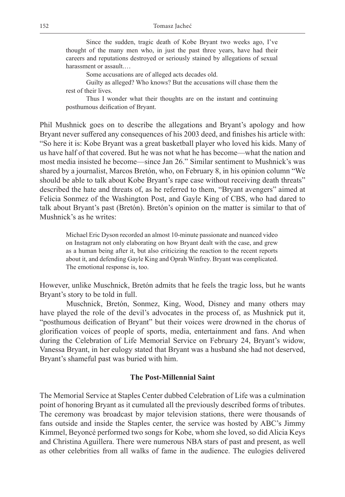Since the sudden, tragic death of Kobe Bryant two weeks ago, I've thought of the many men who, in just the past three years, have had their careers and reputations destroyed or seriously stained by allegations of sexual harassment or assault.…

Some accusations are of alleged acts decades old.

Guilty as alleged? Who knows? But the accusations will chase them the rest of their lives.

Thus I wonder what their thoughts are on the instant and continuing posthumous deification of Bryant.

Phil Mushnick goes on to describe the allegations and Bryant's apology and how Bryant never suffered any consequences of his 2003 deed, and finishes his article with: "So here it is: Kobe Bryant was a great basketball player who loved his kids. Many of us have half of that covered. But he was not what he has become—what the nation and most media insisted he become—since Jan 26." Similar sentiment to Mushnick's was shared by a journalist, Marcos Bretón, who, on February 8, in his opinion column "We should be able to talk about Kobe Bryant's rape case without receiving death threats" described the hate and threats of, as he referred to them, "Bryant avengers" aimed at Felicia Sonmez of the Washington Post, and Gayle King of CBS, who had dared to talk about Bryant's past (Bretón). Bretón's opinion on the matter is similar to that of Mushnick's as he writes:

Michael Eric Dyson recorded an almost 10-minute passionate and nuanced video on Instagram not only elaborating on how Bryant dealt with the case, and grew as a human being after it, but also criticizing the reaction to the recent reports about it, and defending Gayle King and Oprah Winfrey. Bryant was complicated. The emotional response is, too.

However, unlike Muschnick, Bretón admits that he feels the tragic loss, but he wants Bryant's story to be told in full.

Muschnick, Bretón, Sonmez, King, Wood, Disney and many others may have played the role of the devil's advocates in the process of, as Mushnick put it, "posthumous deification of Bryant" but their voices were drowned in the chorus of glorification voices of people of sports, media, entertainment and fans. And when during the Celebration of Life Memorial Service on February 24, Bryant's widow, Vanessa Bryant, in her eulogy stated that Bryant was a husband she had not deserved, Bryant's shameful past was buried with him.

#### **The Post-Millennial Saint**

The Memorial Service at Staples Center dubbed Celebration of Life was a culmination point of honoring Bryant as it cumulated all the previously described forms of tributes. The ceremony was broadcast by major television stations, there were thousands of fans outside and inside the Staples center, the service was hosted by ABC's Jimmy Kimmel, Beyoncé performed two songs for Kobe, whom she loved, so did Alicia Keys and Christina Aguillera. There were numerous NBA stars of past and present, as well as other celebrities from all walks of fame in the audience. The eulogies delivered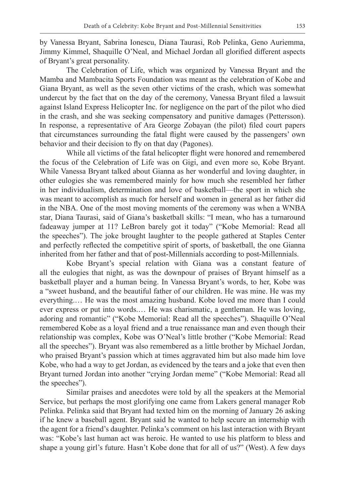by Vanessa Bryant, Sabrina Ionescu, Diana Taurasi, Rob Pelinka, Geno Auriemma, Jimmy Kimmel, Shaquille O'Neal, and Michael Jordan all glorified different aspects of Bryant's great personality.

The Celebration of Life, which was organized by Vanessa Bryant and the Mamba and Mambacita Sports Foundation was meant as the celebration of Kobe and Giana Bryant, as well as the seven other victims of the crash, which was somewhat undercut by the fact that on the day of the ceremony, Vanessa Bryant filed a lawsuit against Island Express Helicopter Inc. for negligence on the part of the pilot who died in the crash, and she was seeking compensatory and punitive damages (Pettersson). In response, a representative of Ara George Zobayan (the pilot) filed court papers that circumstances surrounding the fatal flight were caused by the passengers' own behavior and their decision to fly on that day (Pagones).

While all victims of the fatal helicopter flight were honored and remembered the focus of the Celebration of Life was on Gigi, and even more so, Kobe Bryant. While Vanessa Bryant talked about Gianna as her wonderful and loving daughter, in other eulogies she was remembered mainly for how much she resembled her father in her individualism, determination and love of basketball—the sport in which she was meant to accomplish as much for herself and women in general as her father did in the NBA. One of the most moving moments of the ceremony was when a WNBA star, Diana Taurasi, said of Giana's basketball skills: "I mean, who has a turnaround fadeaway jumper at 11? LeBron barely got it today" ("Kobe Memorial: Read all the speeches"). The joke brought laughter to the people gathered at Staples Center and perfectly reflected the competitive spirit of sports, of basketball, the one Gianna inherited from her father and that of post-Millennials according to post-Millennials.

Kobe Bryant's special relation with Giana was a constant feature of all the eulogies that night, as was the downpour of praises of Bryant himself as a basketball player and a human being. In Vanessa Bryant's words, to her, Kobe was a "sweet husband, and the beautiful father of our children. He was mine. He was my everything.… He was the most amazing husband. Kobe loved me more than I could ever express or put into words.… He was charismatic, a gentleman. He was loving, adoring and romantic" ("Kobe Memorial: Read all the speeches"). Shaquille O'Neal remembered Kobe as a loyal friend and a true renaissance man and even though their relationship was complex, Kobe was O'Neal's little brother ("Kobe Memorial: Read all the speeches"). Bryant was also remembered as a little brother by Michael Jordan, who praised Bryant's passion which at times aggravated him but also made him love Kobe, who had a way to get Jordan, as evidenced by the tears and a joke that even then Bryant turned Jordan into another "crying Jordan meme" ("Kobe Memorial: Read all the speeches").

Similar praises and anecdotes were told by all the speakers at the Memorial Service, but perhaps the most glorifying one came from Lakers general manager Rob Pelinka. Pelinka said that Bryant had texted him on the morning of January 26 asking if he knew a baseball agent. Bryant said he wanted to help secure an internship with the agent for a friend's daughter. Pelinka's comment on his last interaction with Bryant was: "Kobe's last human act was heroic. He wanted to use his platform to bless and shape a young girl's future. Hasn't Kobe done that for all of us?" (West). A few days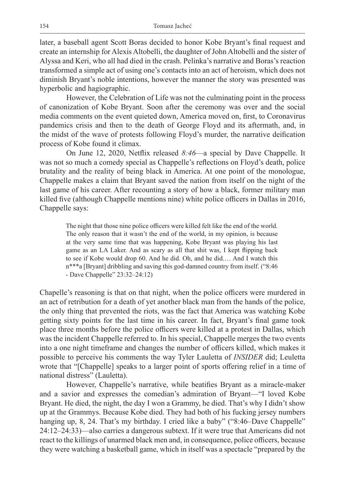later, a baseball agent Scott Boras decided to honor Kobe Bryant's final request and create an internship for Alexis Altobelli, the daughter of John Altobelli and the sister of Alyssa and Keri, who all had died in the crash. Pelinka's narrative and Boras's reaction transformed a simple act of using one's contacts into an act of heroism, which does not diminish Bryant's noble intentions, however the manner the story was presented was hyperbolic and hagiographic.

However, the Celebration of Life was not the culminating point in the process of canonization of Kobe Bryant. Soon after the ceremony was over and the social media comments on the event quieted down, America moved on, first, to Coronavirus pandemics crisis and then to the death of George Floyd and its aftermath, and, in the midst of the wave of protests following Floyd's murder, the narrative deification process of Kobe found it climax.

On June 12, 2020, Netflix released *8:46*—a special by Dave Chappelle. It was not so much a comedy special as Chappelle's reflections on Floyd's death, police brutality and the reality of being black in America. At one point of the monologue, Chappelle makes a claim that Bryant saved the nation from itself on the night of the last game of his career. After recounting a story of how a black, former military man killed five (although Chappelle mentions nine) white police officers in Dallas in 2016, Chappelle says:

The night that those nine police officers were killed felt like the end of the world. The only reason that it wasn't the end of the world, in my opinion, is because at the very same time that was happening, Kobe Bryant was playing his last game as an LA Laker. And as scary as all that shit was, I kept flipping back to see if Kobe would drop 60. And he did. Oh, and he did.… And I watch this n\*\*\*a [Bryant] dribbling and saving this god-damned country from itself. ("8:46 - Dave Chappelle" 23:32–24:12)

Chapelle's reasoning is that on that night, when the police officers were murdered in an act of retribution for a death of yet another black man from the hands of the police, the only thing that prevented the riots, was the fact that America was watching Kobe getting sixty points for the last time in his career. In fact, Bryant's final game took place three months before the police officers were killed at a protest in Dallas, which was the incident Chappelle referred to. In his special, Chappelle merges the two events into a one night timeframe and changes the number of officers killed, which makes it possible to perceive his comments the way Tyler Lauletta of *INSIDER* did; Leuletta wrote that "[Chappelle] speaks to a larger point of sports offering relief in a time of national distress" (Lauletta).

However, Chappelle's narrative, while beatifies Bryant as a miracle-maker and a savior and expresses the comedian's admiration of Bryant—"I loved Kobe Bryant. He died, the night, the day I won a Grammy, he died. That's why I didn't show up at the Grammys. Because Kobe died. They had both of his fucking jersey numbers hanging up, 8, 24. That's my birthday. I cried like a baby" ("8:46–Dave Chappelle" 24:12–24:33)—also carries a dangerous subtext. If it were true that Americans did not react to the killings of unarmed black men and, in consequence, police officers, because they were watching a basketball game, which in itself was a spectacle "prepared by the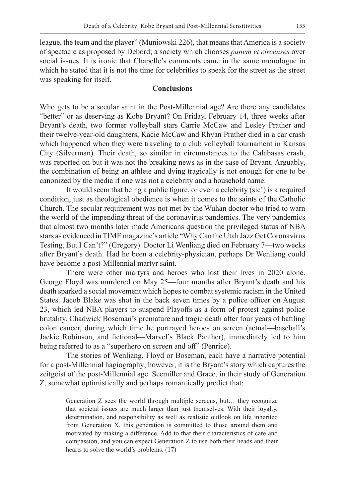league, the team and the player" (Muniowski 226), that means that America is a society of spectacle as proposed by Debord; a society which chooses *panem et circenses* over social issues. It is ironic that Chapelle's comments came in the same monologue in which he stated that it is not the time for celebrities to speak for the street as the street was speaking for itself.

#### **Conclusions**

Who gets to be a secular saint in the Post-Millennial age? Are there any candidates "better" or as deserving as Kobe Bryant? On Friday, February 14, three weeks after Bryant's death, two former volleyball stars Carrie McCaw and Lesley Prather and their twelve-year-old daughters, Kacie McCaw and Rhyan Prather died in a car crash which happened when they were traveling to a club volleyball tournament in Kansas City (Silverman). Their death, so similar in circumstances to the Calabasas crash, was reported on but it was not the breaking news as in the case of Bryant. Arguably, the combination of being an athlete and dying tragically is not enough for one to be canonized by the media if one was not a celebrity and a household name.

It would seem that being a public figure, or even a celebrity (sic!) is a required condition, just as theological obedience is when it comes to the saints of the Catholic Church. The secular requirement was not met by the Wuhan doctor who tried to warn the world of the impending threat of the coronavirus pandemics. The very pandemics that almost two months later made Americans question the privileged status of NBA stars as evidenced in TIME magazine's article "Why Can the Utah Jazz Get Coronavirus Testing, But I Can't?" (Gregory). Doctor Li Wenliang died on February 7—two weeks after Bryant's death. Had he been a celebrity-physician, perhaps Dr Wenliang could have become a post-Millennial martyr saint.

There were other martyrs and heroes who lost their lives in 2020 alone. George Floyd was murdered on May 25—four months after Bryant's death and his death sparked a social movement which hopes to combat systemic racism in the United States. Jacob Blake was shot in the back seven times by a police officer on August 23, which led NBA players to suspend Playoffs as a form of protest against police brutality. Chadwick Boseman's premature and tragic death after four years of battling colon cancer, during which time he portrayed heroes on screen (actual—baseball's Jackie Robinson, and fictional—Marvel's Black Panther), immediately led to him being referred to as a "superhero on screen and off" (Penrice).

The stories of Wenliang, Floyd or Boseman, each have a narrative potential for a post-Millennial hagiography; however, it is the Bryant's story which captures the zeitgeist of the post-Millennial age. Seemiller and Grace, in their study of Generation Z, somewhat optimistically and perhaps romantically predict that:

Generation Z sees the world through multiple screens, but… they recognize that societal issues are much larger than just themselves. With their loyalty, determination, and responsibility as well as realistic outlook on life inherited from Generation X, this generation is committed to those around them and motivated by making a difference. Add to that their characteristics of care and compassion, and you can expect Generation Z to use both their heads and their hearts to solve the world's problems. (17)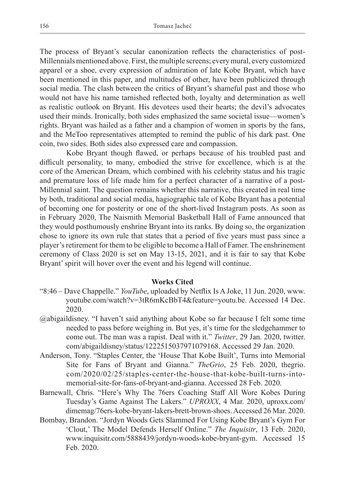The process of Bryant's secular canonization reflects the characteristics of post-Millennials mentioned above. First, the multiple screens; every mural, every customized apparel or a shoe, every expression of admiration of late Kobe Bryant, which have been mentioned in this paper, and multitudes of other, have been publicized through social media. The clash between the critics of Bryant's shameful past and those who would not have his name tarnished reflected both, loyalty and determination as well as realistic outlook on Bryant. His devotees used their hearts; the devil's advocates used their minds. Ironically, both sides emphasized the same societal issue—women's rights. Bryant was hailed as a father and a champion of women in sports by the fans, and the MeToo representatives attempted to remind the public of his dark past. One coin, two sides. Both sides also expressed care and compassion.

Kobe Bryant though flawed, or perhaps because of his troubled past and difficult personality, to many, embodied the strive for excellence, which is at the core of the American Dream, which combined with his celebrity status and his tragic and premature loss of life made him for a perfect character of a narrative of a post-Millennial saint. The question remains whether this narrative, this created in real time by both, traditional and social media, hagiographic tale of Kobe Bryant has a potential of becoming one for posterity or one of the short-lived Instagram posts. As soon as in February 2020, The Naismith Memorial Basketball Hall of Fame announced that they would posthumously enshrine Bryant into its ranks. By doing so, the organization chose to ignore its own rule that states that a period of five years must pass since a player's retirement for them to be eligible to become a Hall of Famer. The enshrinement ceremony of Class 2020 is set on May 13-15, 2021, and it is fair to say that Kobe Bryant' spirit will hover over the event and his legend will continue.

#### **Works Cited**

- "8:46 Dave Chappelle." *YouTube*, uploaded by Netflix Is A Joke, 11 Jun. 2020, www. youtube.com/watch?v=3tR6mKcBbT4&feature=youtu.be. Accessed 14 Dec. 2020.
- @abigaildisney. "I haven't said anything about Kobe so far because I felt some time needed to pass before weighing in. But yes, it's time for the sledgehammer to come out. The man was a rapist. Deal with it." *Twitter*, 29 Jan. 2020, twitter. com/abigaildisney/status/1222515037971079168. Accessed 29 Jan. 2020.
- Anderson, Tony. "Staples Center, the 'House That Kobe Built', Turns into Memorial Site for Fans of Bryant and Gianna." *TheGrio*, 25 Feb. 2020, thegrio. com/2020/02/25/staples-center-the-house-that-kobe-built-turns-intomemorial-site-for-fans-of-bryant-and-gianna. Accessed 28 Feb. 2020.
- Barnewall, Chris. "Here's Why The 76ers Coaching Staff All Wore Kobes During Tuesday's Game Against The Lakers." *UPROXX*, 4 Mar. 2020, uproxx.com/ dimemag/76ers-kobe-bryant-lakers-brett-brown-shoes. Accessed 26 Mar. 2020.
- Bombay, Brandon. "Jordyn Woods Gets Slammed For Using Kobe Bryant's Gym For 'Clout,' The Model Defends Herself Online." *The Inquisitr*, 13 Feb. 2020, www.inquisitr.com/5888439/jordyn-woods-kobe-bryant-gym. Accessed 15 Feb. 2020.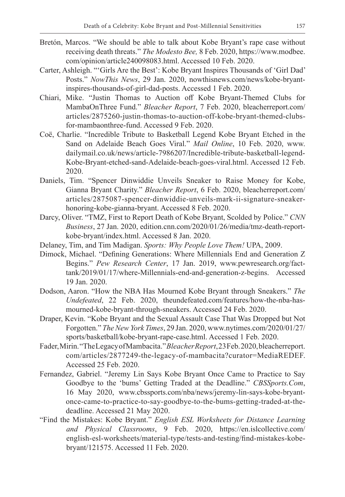- Bretón, Marcos. "We should be able to talk about Kobe Bryant's rape case without receiving death threats." *The Modesto Bee,* 8 Feb. 2020, https://www.modbee. com/opinion/article240098083.html. Accessed 10 Feb. 2020.
- Carter, Ashleigh. "'Girls Are the Best': Kobe Bryant Inspires Thousands of 'Girl Dad' Posts." *NowThis News*, 29 Jan. 2020, nowthisnews.com/news/kobe-bryantinspires-thousands-of-girl-dad-posts. Accessed 1 Feb. 2020.
- Chiari, Mike. "Justin Thomas to Auction off Kobe Bryant-Themed Clubs for MambaOnThree Fund." *Bleacher Report*, 7 Feb. 2020, bleacherreport.com/ articles/2875260-justin-thomas-to-auction-off-kobe-bryant-themed-clubsfor-mambaonthree-fund. Accessed 9 Feb. 2020.
- Coë, Charlie. "Incredible Tribute to Basketball Legend Kobe Bryant Etched in the Sand on Adelaide Beach Goes Viral." *Mail Online*, 10 Feb. 2020, www. dailymail.co.uk/news/article-7986207/Incredible-tribute-basketball-legend-Kobe-Bryant-etched-sand-Adelaide-beach-goes-viral.html. Accessed 12 Feb. 2020.
- Daniels, Tim. "Spencer Dinwiddie Unveils Sneaker to Raise Money for Kobe, Gianna Bryant Charity." *Bleacher Report*, 6 Feb. 2020, bleacherreport.com/ articles/2875087-spencer-dinwiddie-unveils-mark-ii-signature-sneakerhonoring-kobe-gianna-bryant. Accessed 8 Feb. 2020.
- Darcy, Oliver. "TMZ, First to Report Death of Kobe Bryant, Scolded by Police." *CNN Business*, 27 Jan. 2020, edition.cnn.com/2020/01/26/media/tmz-death-reportkobe-bryant/index.html. Accessed 8 Jan. 2020.
- Delaney, Tim, and Tim Madigan. *Sports: Why People Love Them!* UPA, 2009.
- Dimock, Michael. "Defining Generations: Where Millennials End and Generation Z Begins." *Pew Research Center*, 17 Jan. 2019, www.pewresearch.org/facttank/2019/01/17/where-Millennials-end-and-generation-z-begins. Accessed 19 Jan. 2020.
- Dodson, Aaron. "How the NBA Has Mourned Kobe Bryant through Sneakers." *The Undefeated*, 22 Feb. 2020, theundefeated.com/features/how-the-nba-hasmourned-kobe-bryant-through-sneakers. Accessed 24 Feb. 2020.
- Draper, Kevin. "Kobe Bryant and the Sexual Assault Case That Was Dropped but Not Forgotten." *The New York Times*, 29 Jan. 2020, www.nytimes.com/2020/01/27/ sports/basketball/kobe-bryant-rape-case.html. Accessed 1 Feb. 2020.
- Fader, Mirin. "The Legacy of Mambacita." *Bleacher Report*, 23 Feb. 2020, bleacherreport. com/articles/2877249-the-legacy-of-mambacita?curator=MediaREDEF. Accessed 25 Feb. 2020.
- Fernandez, Gabriel. "Jeremy Lin Says Kobe Bryant Once Came to Practice to Say Goodbye to the 'bums' Getting Traded at the Deadline." *CBSSports.Com*, 16 May 2020, www.cbssports.com/nba/news/jeremy-lin-says-kobe-bryantonce-came-to-practice-to-say-goodbye-to-the-bums-getting-traded-at-thedeadline. Accessed 21 May 2020.
- "Find the Mistakes: Kobe Bryant." *English ESL Worksheets for Distance Learning and Physical Classrooms*, 9 Feb. 2020, https://en.islcollective.com/ english-esl-worksheets/material-type/tests-and-testing/find-mistakes-kobebryant/121575. Accessed 11 Feb. 2020.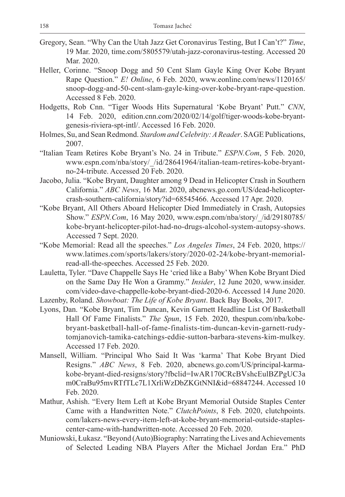- Gregory, Sean. "Why Can the Utah Jazz Get Coronavirus Testing, But I Can't?" *Time*, 19 Mar. 2020, time.com/5805579/utah-jazz-coronavirus-testing. Accessed 20 Mar. 2020.
- Heller, Corinne. "Snoop Dogg and 50 Cent Slam Gayle King Over Kobe Bryant Rape Question." *E! Online*, 6 Feb. 2020, www.eonline.com/news/1120165/ snoop-dogg-and-50-cent-slam-gayle-king-over-kobe-bryant-rape-question. Accessed 8 Feb. 2020.
- Hodgetts, Rob Cnn. "Tiger Woods Hits Supernatural 'Kobe Bryant' Putt." *CNN*, 14 Feb. 2020, edition.cnn.com/2020/02/14/golf/tiger-woods-kobe-bryantgenesis-riviera-spt-intl/. Accessed 16 Feb. 2020.
- Holmes, Su, and Sean Redmond. *Stardom and Celebrity: A Reader*. SAGE Publications, 2007.
- "Italian Team Retires Kobe Bryant's No. 24 in Tribute." *ESPN.Com*, 5 Feb. 2020, www.espn.com/nba/story/\_/id/28641964/italian-team-retires-kobe-bryantno-24-tribute. Accessed 20 Feb. 2020.
- Jacobo, Julia. "Kobe Bryant, Daughter among 9 Dead in Helicopter Crash in Southern California." *ABC News*, 16 Mar. 2020, abcnews.go.com/US/dead-helicoptercrash-southern-california/story?id=68545466. Accessed 17 Apr. 2020.
- "Kobe Bryant, All Others Aboard Helicopter Died Immediately in Crash, Autopsies Show." *ESPN.Com*, 16 May 2020, www.espn.com/nba/story/\_/id/29180785/ kobe-bryant-helicopter-pilot-had-no-drugs-alcohol-system-autopsy-shows. Accessed 7 Sept. 2020.
- "Kobe Memorial: Read all the speeches." *Los Angeles Times*, 24 Feb. 2020, https:// www.latimes.com/sports/lakers/story/2020-02-24/kobe-bryant-memorialread-all-the-speeches. Accessed 25 Feb. 2020.
- Lauletta, Tyler. "Dave Chappelle Says He 'cried like a Baby' When Kobe Bryant Died on the Same Day He Won a Grammy." *Insider*, 12 June 2020, www.insider. com/video-dave-chappelle-kobe-bryant-died-2020-6. Accessed 14 June 2020.
- Lazenby, Roland. *Showboat: The Life of Kobe Bryant*. Back Bay Books, 2017.
- Lyons, Dan. "Kobe Bryant, Tim Duncan, Kevin Garnett Headline List Of Basketball Hall Of Fame Finalists." *The Spun*, 15 Feb. 2020, thespun.com/nba/kobebryant-basketball-hall-of-fame-finalists-tim-duncan-kevin-garnett-rudytomjanovich-tamika-catchings-eddie-sutton-barbara-stevens-kim-mulkey. Accessed 17 Feb. 2020.
- Mansell, William. "Principal Who Said It Was 'karma' That Kobe Bryant Died Resigns." *ABC News*, 8 Feb. 2020, abcnews.go.com/US/principal-karmakobe-bryant-died-resigns/story?fbclid=IwAR170CRcBVshcEulBZPgUC3a m0CraBu95mvRTfTLc7L1XrliWzDbZKGtNNI&id=68847244. Accessed 10 Feb. 2020.
- Mathur, Ashish. "Every Item Left at Kobe Bryant Memorial Outside Staples Center Came with a Handwritten Note." *ClutchPoints*, 8 Feb. 2020, clutchpoints. com/lakers-news-every-item-left-at-kobe-bryant-memorial-outside-staplescenter-came-with-handwritten-note. Accessed 20 Feb. 2020.
- Muniowski, Łukasz. "Beyond (Auto)Biography: Narrating the Lives and Achievements of Selected Leading NBA Players After the Michael Jordan Era." PhD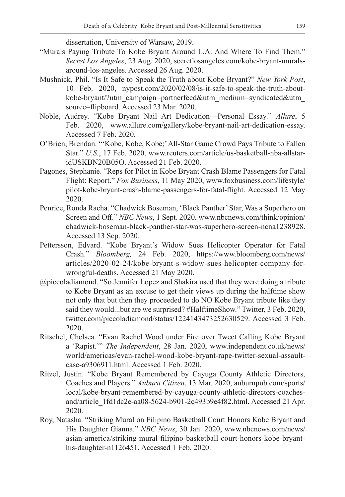dissertation, University of Warsaw, 2019.

- "Murals Paying Tribute To Kobe Bryant Around L.A. And Where To Find Them." *Secret Los Angeles*, 23 Aug. 2020, secretlosangeles.com/kobe-bryant-muralsaround-los-angeles. Accessed 26 Aug. 2020.
- Mushnick, Phil. "Is It Safe to Speak the Truth about Kobe Bryant?" *New York Post*, 10 Feb. 2020, nypost.com/2020/02/08/is-it-safe-to-speak-the-truth-aboutkobe-bryant/?utm\_campaign=partnerfeed&utm\_medium=syndicated&utm\_ source=flipboard. Accessed 23 Mar. 2020.
- Noble, Audrey. "Kobe Bryant Nail Art Dedication—Personal Essay." *Allure*, 5 Feb. 2020, www.allure.com/gallery/kobe-bryant-nail-art-dedication-essay. Accessed 7 Feb. 2020.
- O'Brien, Brendan. "'Kobe, Kobe, Kobe;' All-Star Game Crowd Pays Tribute to Fallen Star." *U.S.*, 17 Feb. 2020, www.reuters.com/article/us-basketball-nba-allstaridUSKBN20B05O. Accessed 21 Feb. 2020.
- Pagones, Stephanie. "Reps for Pilot in Kobe Bryant Crash Blame Passengers for Fatal Flight: Report." *Fox Business*, 11 May 2020, www.foxbusiness.com/lifestyle/ pilot-kobe-bryant-crash-blame-passengers-for-fatal-flight. Accessed 12 May 2020.
- Penrice, Ronda Racha. "Chadwick Boseman, 'Black Panther' Star, Was a Superhero on Screen and Off." *NBC News*, 1 Sept. 2020, www.nbcnews.com/think/opinion/ chadwick-boseman-black-panther-star-was-superhero-screen-ncna1238928. Accessed 13 Sep. 2020.
- Pettersson, Edvard. "Kobe Bryant's Widow Sues Helicopter Operator for Fatal Crash." *Bloomberg,* 24 Feb. 2020, https://www.bloomberg.com/news/ articles/2020-02-24/kobe-bryant-s-widow-sues-helicopter-company-forwrongful-deaths. Accessed 21 May 2020.
- @piccoladiamond. "So Jennifer Lopez and Shakira used that they were doing a tribute to Kobe Bryant as an excuse to get their views up during the halftime show not only that but then they proceeded to do NO Kobe Bryant tribute like they said they would...but are we surprised? #HalftimeShow." Twitter, 3 Feb. 2020, twitter.com/piccoladiamond/status/1224143473252630529. Accessed 3 Feb. 2020.
- Ritschel, Chelsea. "Evan Rachel Wood under Fire over Tweet Calling Kobe Bryant a 'Rapist.'" *The Independent*, 28 Jan. 2020, www.independent.co.uk/news/ world/americas/evan-rachel-wood-kobe-bryant-rape-twitter-sexual-assaultcase-a9306911.html. Accessed 1 Feb. 2020.
- Ritzel, Justin. "Kobe Bryant Remembered by Cayuga County Athletic Directors, Coaches and Players." *Auburn Citizen*, 13 Mar. 2020, auburnpub.com/sports/ local/kobe-bryant-remembered-by-cayuga-county-athletic-directors-coachesand/article\_1fd1dc2e-aa08-5624-b901-2c493b9e4f82.html. Accessed 21 Apr. 2020.
- Roy, Natasha. "Striking Mural on Filipino Basketball Court Honors Kobe Bryant and His Daughter Gianna." *NBC News*, 30 Jan. 2020, www.nbcnews.com/news/ asian-america/striking-mural-filipino-basketball-court-honors-kobe-bryanthis-daughter-n1126451. Accessed 1 Feb. 2020.